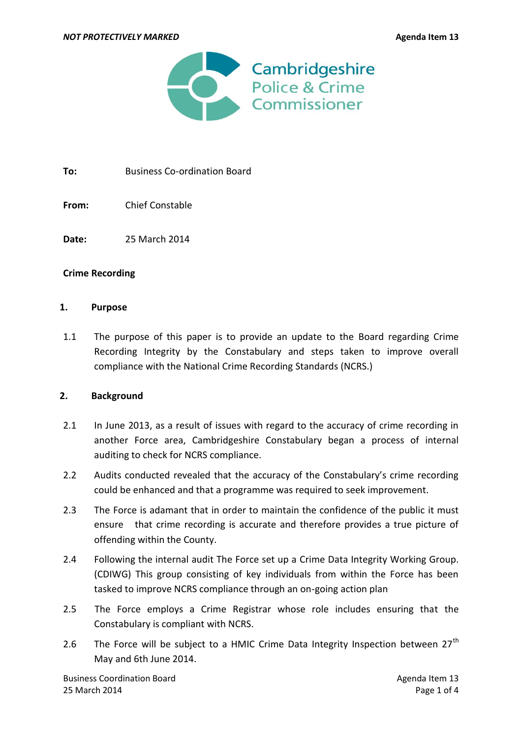

To: Business Co-ordination Board

**From:** Chief Constable

**Date:** 25 March 2014

## **Crime Recording**

#### **1. Purpose**

1.1 The purpose of this paper is to provide an update to the Board regarding Crime Recording Integrity by the Constabulary and steps taken to improve overall compliance with the National Crime Recording Standards (NCRS.)

## **2. Background**

- 2.1 In June 2013, as a result of issues with regard to the accuracy of crime recording in another Force area, Cambridgeshire Constabulary began a process of internal auditing to check for NCRS compliance.
- 2.2 Audits conducted revealed that the accuracy of the Constabulary's crime recording could be enhanced and that a programme was required to seek improvement.
- 2.3 The Force is adamant that in order to maintain the confidence of the public it must ensure that crime recording is accurate and therefore provides a true picture of offending within the County.
- 2.4 Following the internal audit The Force set up a Crime Data Integrity Working Group. (CDIWG) This group consisting of key individuals from within the Force has been tasked to improve NCRS compliance through an on-going action plan
- 2.5 The Force employs a Crime Registrar whose role includes ensuring that the Constabulary is compliant with NCRS.
- 2.6 The Force will be subject to a HMIC Crime Data Integrity Inspection between  $27<sup>th</sup>$ May and 6th June 2014.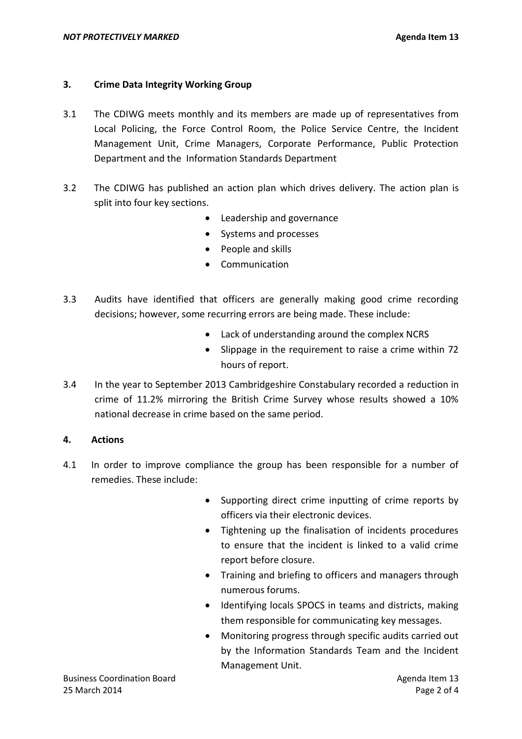## **3. Crime Data Integrity Working Group**

- 3.1 The CDIWG meets monthly and its members are made up of representatives from Local Policing, the Force Control Room, the Police Service Centre, the Incident Management Unit, Crime Managers, Corporate Performance, Public Protection Department and the Information Standards Department
- 3.2 The CDIWG has published an action plan which drives delivery. The action plan is split into four key sections.
	- Leadership and governance
	- Systems and processes
	- People and skills
	- Communication
- 3.3 Audits have identified that officers are generally making good crime recording decisions; however, some recurring errors are being made. These include:
	- Lack of understanding around the complex NCRS
	- Slippage in the requirement to raise a crime within 72 hours of report.
- 3.4 In the year to September 2013 Cambridgeshire Constabulary recorded a reduction in crime of 11.2% mirroring the British Crime Survey whose results showed a 10% national decrease in crime based on the same period.

## **4. Actions**

- 4.1 In order to improve compliance the group has been responsible for a number of remedies. These include:
	- Supporting direct crime inputting of crime reports by officers via their electronic devices.
	- Tightening up the finalisation of incidents procedures to ensure that the incident is linked to a valid crime report before closure.
	- Training and briefing to officers and managers through numerous forums.
	- Identifying locals SPOCS in teams and districts, making them responsible for communicating key messages.
	- Monitoring progress through specific audits carried out by the Information Standards Team and the Incident Management Unit.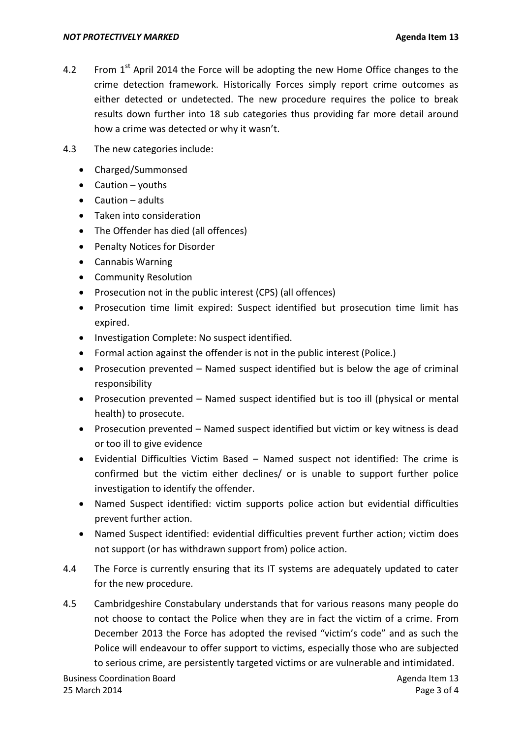- 4.2 From  $1<sup>st</sup>$  April 2014 the Force will be adopting the new Home Office changes to the crime detection framework. Historically Forces simply report crime outcomes as either detected or undetected. The new procedure requires the police to break results down further into 18 sub categories thus providing far more detail around how a crime was detected or why it wasn't.
- 4.3 The new categories include:
	- Charged/Summonsed
	- $\bullet$  Caution youths
	- Caution adults
	- Taken into consideration
	- The Offender has died (all offences)
	- Penalty Notices for Disorder
	- Cannabis Warning
	- Community Resolution
	- Prosecution not in the public interest (CPS) (all offences)
	- Prosecution time limit expired: Suspect identified but prosecution time limit has expired.
	- Investigation Complete: No suspect identified.
	- Formal action against the offender is not in the public interest (Police.)
	- Prosecution prevented  $-$  Named suspect identified but is below the age of criminal responsibility
	- Prosecution prevented Named suspect identified but is too ill (physical or mental health) to prosecute.
	- Prosecution prevented Named suspect identified but victim or key witness is dead or too ill to give evidence
	- Evidential Difficulties Victim Based Named suspect not identified: The crime is confirmed but the victim either declines/ or is unable to support further police investigation to identify the offender.
	- Named Suspect identified: victim supports police action but evidential difficulties prevent further action.
	- Named Suspect identified: evidential difficulties prevent further action; victim does not support (or has withdrawn support from) police action.
- 4.4 The Force is currently ensuring that its IT systems are adequately updated to cater for the new procedure.
- 4.5 Cambridgeshire Constabulary understands that for various reasons many people do not choose to contact the Police when they are in fact the victim of a crime. From December 2013 the Force has adopted the revised "victim's code" and as such the Police will endeavour to offer support to victims, especially those who are subjected to serious crime, are persistently targeted victims or are vulnerable and intimidated.